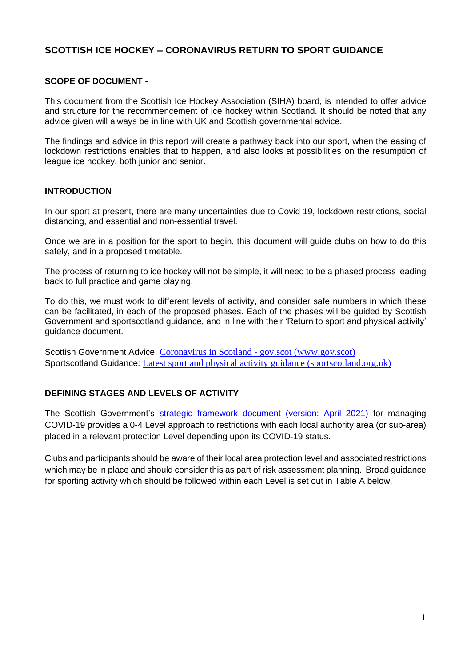## **SCOTTISH ICE HOCKEY – CORONAVIRUS RETURN TO SPORT GUIDANCE**

#### **SCOPE OF DOCUMENT -**

This document from the Scottish Ice Hockey Association (SIHA) board, is intended to offer advice and structure for the recommencement of ice hockey within Scotland. It should be noted that any advice given will always be in line with UK and Scottish governmental advice.

The findings and advice in this report will create a pathway back into our sport, when the easing of lockdown restrictions enables that to happen, and also looks at possibilities on the resumption of league ice hockey, both junior and senior.

#### **INTRODUCTION**

In our sport at present, there are many uncertainties due to Covid 19, lockdown restrictions, social distancing, and essential and non-essential travel.

Once we are in a position for the sport to begin, this document will guide clubs on how to do this safely, and in a proposed timetable.

The process of returning to ice hockey will not be simple, it will need to be a phased process leading back to full practice and game playing.

To do this, we must work to different levels of activity, and consider safe numbers in which these can be facilitated, in each of the proposed phases. Each of the phases will be guided by Scottish Government and sportscotland guidance, and in line with their 'Return to sport and physical activity' guidance document.

Scottish Government Advice: Coronavirus in Scotland - gov.scot [\(www.gov.scot\)](https://www.gov.scot/coronavirus-covid-19/) Sportscotland Guidance: Latest sport and physical activity guidance [\(sportscotland.org.uk\)](https://sportscotland.org.uk/covid-19/latest-sport-and-physical-activity-guidance/)

## **DEFINING STAGES AND LEVELS OF ACTIVITY**

The Scottish Government's strategic [framework](https://www.gov.scot/binaries/content/documents/govscot/publications/advice-and-guidance/2020/10/coronavirus-covid-19-protection-levels/documents/covid-19-protection-levels-summary-information-on-what-you-can-and-cannot-do/covid-19-protection-levels-summary-information-on-what-you-can-and-cannot-do/govscot%253Adocument/COVID-19%252Bprotection%252Blevels%252B-%252Bsummary%252Binformation%252Bon%252Bwhat%252Byou%252Bcan%252Band%252Bcannot%252Bdo%252B---.pdf) document (version: April 2021) for managing COVID-19 provides a 0-4 Level approach to restrictions with each local authority area (or sub-area) placed in a relevant protection Level depending upon its COVID-19 status.

Clubs and participants should be aware of their local area protection level and associated restrictions which may be in place and should consider this as part of risk assessment planning. Broad guidance for sporting activity which should be followed within each Level is set out in Table A below.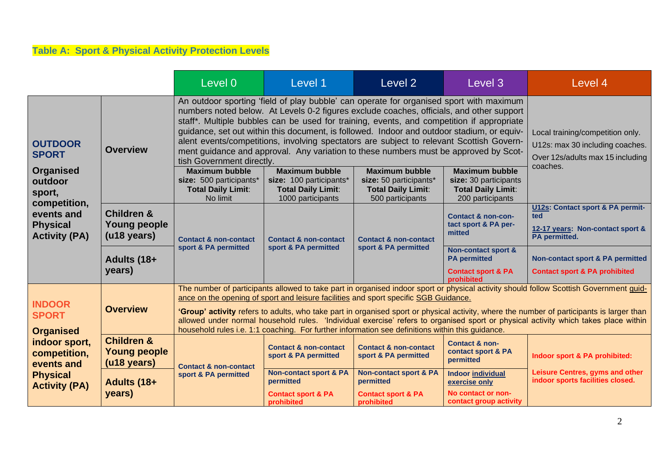# **Table A: Sport & Physical Activity Protection Levels**

|                                                                                                                                             |                                                             | Level 0                                                                                                                                                                                                                                                                                                                                                                                                                                                                                                                                                                                                                | Level 1                                                                                            | Level 2                                                                                          | Level 3                                                                                              | Level 4                                                                                                 |
|---------------------------------------------------------------------------------------------------------------------------------------------|-------------------------------------------------------------|------------------------------------------------------------------------------------------------------------------------------------------------------------------------------------------------------------------------------------------------------------------------------------------------------------------------------------------------------------------------------------------------------------------------------------------------------------------------------------------------------------------------------------------------------------------------------------------------------------------------|----------------------------------------------------------------------------------------------------|--------------------------------------------------------------------------------------------------|------------------------------------------------------------------------------------------------------|---------------------------------------------------------------------------------------------------------|
| <b>OUTDOOR</b><br><b>SPORT</b>                                                                                                              | <b>Overview</b>                                             | An outdoor sporting 'field of play bubble' can operate for organised sport with maximum<br>numbers noted below. At Levels 0-2 figures exclude coaches, officials, and other support<br>staff*. Multiple bubbles can be used for training, events, and competition if appropriate<br>guidance, set out within this document, is followed. Indoor and outdoor stadium, or equiv-<br>alent events/competitions, involving spectators are subject to relevant Scottish Govern-<br>ment guidance and approval. Any variation to these numbers must be approved by Scot-<br>tish Government directly.                        |                                                                                                    |                                                                                                  |                                                                                                      | Local training/competition only.<br>U12s: max 30 including coaches.<br>Over 12s/adults max 15 including |
| <b>Organised</b><br>outdoor<br>sport,<br>competition,<br>events and<br><b>Physical</b><br><b>Activity (PA)</b>                              |                                                             | <b>Maximum bubble</b><br>size: 500 participants*<br><b>Total Daily Limit:</b><br>No limit                                                                                                                                                                                                                                                                                                                                                                                                                                                                                                                              | <b>Maximum bubble</b><br>size: 100 participants*<br><b>Total Daily Limit:</b><br>1000 participants | <b>Maximum bubble</b><br>size: 50 participants*<br><b>Total Daily Limit:</b><br>500 participants | <b>Maximum bubble</b><br>size: 30 participants<br><b>Total Daily Limit:</b><br>200 participants      | coaches.                                                                                                |
|                                                                                                                                             | <b>Children &amp;</b><br><b>Young people</b><br>(u18 years) | <b>Contact &amp; non-contact</b><br>sport & PA permitted                                                                                                                                                                                                                                                                                                                                                                                                                                                                                                                                                               | <b>Contact &amp; non-contact</b><br>sport & PA permitted                                           | <b>Contact &amp; non-contact</b><br>sport & PA permitted                                         | <b>Contact &amp; non-con-</b><br>tact sport & PA per-<br>mitted                                      | U12s: Contact sport & PA permit-<br>ted<br>12-17 years: Non-contact sport &<br>PA permitted.            |
|                                                                                                                                             | Adults (18+<br>years)                                       |                                                                                                                                                                                                                                                                                                                                                                                                                                                                                                                                                                                                                        |                                                                                                    |                                                                                                  | <b>Non-contact sport &amp;</b><br><b>PA</b> permitted<br><b>Contact sport &amp; PA</b><br>prohibited | Non-contact sport & PA permitted<br><b>Contact sport &amp; PA prohibited</b>                            |
| <b>INDOOR</b><br><b>SPORT</b><br><b>Organised</b><br>indoor sport,<br>competition,<br>events and<br><b>Physical</b><br><b>Activity (PA)</b> | <b>Overview</b>                                             | The number of participants allowed to take part in organised indoor sport or physical activity should follow Scottish Government guid-<br>ance on the opening of sport and leisure facilities and sport specific SGB Guidance.<br>'Group' activity refers to adults, who take part in organised sport or physical activity, where the number of participants is larger than<br>allowed under normal household rules. 'Individual exercise' refers to organised sport or physical activity which takes place within<br>household rules i.e. 1:1 coaching. For further information see definitions within this guidance. |                                                                                                    |                                                                                                  |                                                                                                      |                                                                                                         |
|                                                                                                                                             | <b>Children &amp;</b><br><b>Young people</b><br>(u18 years) | <b>Contact &amp; non-contact</b><br>sport & PA permitted                                                                                                                                                                                                                                                                                                                                                                                                                                                                                                                                                               | <b>Contact &amp; non-contact</b><br>sport & PA permitted                                           | <b>Contact &amp; non-contact</b><br>sport & PA permitted                                         | <b>Contact &amp; non-</b><br>contact sport & PA<br>permitted                                         | Indoor sport & PA prohibited:                                                                           |
|                                                                                                                                             | Adults (18+<br>years)                                       |                                                                                                                                                                                                                                                                                                                                                                                                                                                                                                                                                                                                                        | <b>Non-contact sport &amp; PA</b><br>permitted<br><b>Contact sport &amp; PA</b><br>prohibited      | <b>Non-contact sport &amp; PA</b><br>permitted<br><b>Contact sport &amp; PA</b><br>prohibited    | <b>Indoor individual</b><br>exercise only<br>No contact or non-<br>contact group activity            | Leisure Centres, gyms and other<br>indoor sports facilities closed.                                     |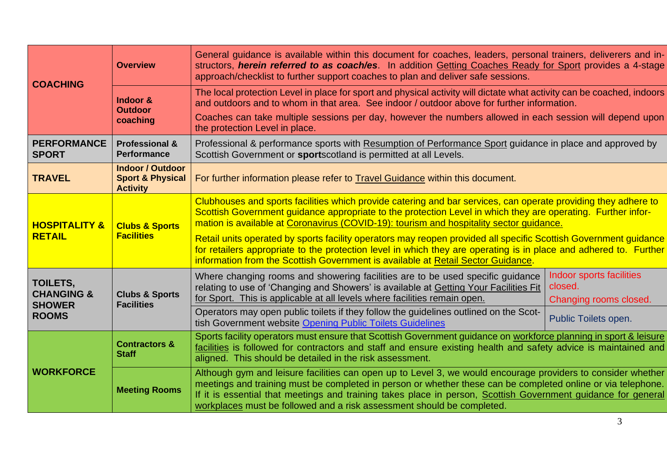| <b>COACHING</b>                                                    | <b>Overview</b>                                                           | General guidance is available within this document for coaches, leaders, personal trainers, deliverers and in-<br>structors, herein referred to as coach/es. In addition Getting Coaches Ready for Sport provides a 4-stage<br>approach/checklist to further support coaches to plan and deliver safe sessions.                                                                                                                                                                                                                                                                                                                                        |                                                               |  |  |  |
|--------------------------------------------------------------------|---------------------------------------------------------------------------|--------------------------------------------------------------------------------------------------------------------------------------------------------------------------------------------------------------------------------------------------------------------------------------------------------------------------------------------------------------------------------------------------------------------------------------------------------------------------------------------------------------------------------------------------------------------------------------------------------------------------------------------------------|---------------------------------------------------------------|--|--|--|
|                                                                    | Indoor &<br><b>Outdoor</b>                                                | The local protection Level in place for sport and physical activity will dictate what activity can be coached, indoors<br>and outdoors and to whom in that area. See indoor / outdoor above for further information.                                                                                                                                                                                                                                                                                                                                                                                                                                   |                                                               |  |  |  |
|                                                                    | coaching                                                                  | Coaches can take multiple sessions per day, however the numbers allowed in each session will depend upon<br>the protection Level in place.                                                                                                                                                                                                                                                                                                                                                                                                                                                                                                             |                                                               |  |  |  |
| <b>PERFORMANCE</b><br><b>SPORT</b>                                 | <b>Professional &amp;</b><br><b>Performance</b>                           | Professional & performance sports with Resumption of Performance Sport guidance in place and approved by<br>Scottish Government or sportscotland is permitted at all Levels.                                                                                                                                                                                                                                                                                                                                                                                                                                                                           |                                                               |  |  |  |
| <b>TRAVEL</b>                                                      | <b>Indoor / Outdoor</b><br><b>Sport &amp; Physical</b><br><b>Activity</b> | For further information please refer to Travel Guidance within this document.                                                                                                                                                                                                                                                                                                                                                                                                                                                                                                                                                                          |                                                               |  |  |  |
| <b>HOSPITALITY &amp;</b><br><b>RETAIL</b>                          | <b>Clubs &amp; Sports</b><br><b>Facilities</b>                            | Clubhouses and sports facilities which provide catering and bar services, can operate providing they adhere to<br>Scottish Government guidance appropriate to the protection Level in which they are operating. Further infor-<br>mation is available at Coronavirus (COVID-19): tourism and hospitality sector guidance.<br>Retail units operated by sports facility operators may reopen provided all specific Scottish Government guidance<br>for retailers appropriate to the protection level in which they are operating is in place and adhered to. Further<br>information from the Scottish Government is available at Retail Sector Guidance. |                                                               |  |  |  |
| TOILETS,<br><b>CHANGING &amp;</b><br><b>SHOWER</b><br><b>ROOMS</b> | <b>Clubs &amp; Sports</b><br><b>Facilities</b>                            | Where changing rooms and showering facilities are to be used specific guidance<br>relating to use of 'Changing and Showers' is available at Getting Your Facilities Fit<br>for Sport. This is applicable at all levels where facilities remain open.                                                                                                                                                                                                                                                                                                                                                                                                   | Indoor sports facilities<br>closed.<br>Changing rooms closed. |  |  |  |
|                                                                    |                                                                           | Operators may open public toilets if they follow the guidelines outlined on the Scot-<br>tish Government website Opening Public Toilets Guidelines                                                                                                                                                                                                                                                                                                                                                                                                                                                                                                     | Public Toilets open.                                          |  |  |  |
| <b>WORKFORCE</b>                                                   | <b>Contractors &amp;</b><br><b>Staff</b>                                  | Sports facility operators must ensure that Scottish Government guidance on workforce planning in sport & leisure<br>facilities is followed for contractors and staff and ensure existing health and safety advice is maintained and<br>aligned. This should be detailed in the risk assessment.                                                                                                                                                                                                                                                                                                                                                        |                                                               |  |  |  |
|                                                                    | <b>Meeting Rooms</b>                                                      | Although gym and leisure facilities can open up to Level 3, we would encourage providers to consider whether<br>meetings and training must be completed in person or whether these can be completed online or via telephone.<br>If it is essential that meetings and training takes place in person, Scottish Government guidance for general<br>workplaces must be followed and a risk assessment should be completed.                                                                                                                                                                                                                                |                                                               |  |  |  |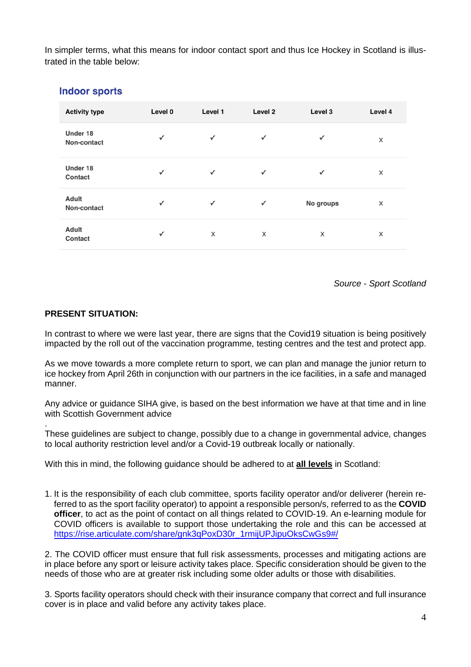In simpler terms, what this means for indoor contact sport and thus Ice Hockey in Scotland is illustrated in the table below:

| <b>Activity type</b>        | Level 0      | Level 1      | Level 2      | Level 3      | Level 4 |
|-----------------------------|--------------|--------------|--------------|--------------|---------|
| Under 18<br>Non-contact     | $\checkmark$ | $\checkmark$ | $\checkmark$ | $\checkmark$ | ×       |
| Under 18<br>Contact         | $\checkmark$ | $\checkmark$ | $\checkmark$ | $\checkmark$ | ×       |
| <b>Adult</b><br>Non-contact | $\checkmark$ | $\checkmark$ | ✓            | No groups    | ×       |
| <b>Adult</b><br>Contact     | $\checkmark$ | $\times$     | X            | X            | X       |

#### **Indoor sports**

*Source - Sport Scotland*

#### **PRESENT SITUATION:**

.

In contrast to where we were last year, there are signs that the Covid19 situation is being positively impacted by the roll out of the vaccination programme, testing centres and the test and protect app.

As we move towards a more complete return to sport, we can plan and manage the junior return to ice hockey from April 26th in conjunction with our partners in the ice facilities, in a safe and managed manner.

Any advice or guidance SIHA give, is based on the best information we have at that time and in line with Scottish Government advice

These guidelines are subject to change, possibly due to a change in governmental advice, changes to local authority restriction level and/or a Covid-19 outbreak locally or nationally.

With this in mind, the following guidance should be adhered to at **all levels** in Scotland:

1. It is the responsibility of each club committee, sports facility operator and/or deliverer (herein referred to as the sport facility operator) to appoint a responsible person/s, referred to as the **COVID officer**, to act as the point of contact on all things related to COVID-19. An e-learning module for COVID officers is available to support those undertaking the role and this can be accessed at [https://rise.articulate.com/share/gnk3qPoxD30r\\_1rmijUPJipuOksCwGs9#/](https://rise.articulate.com/share/gnk3qPoxD30r_1rmijUPJipuOksCwGs9%23/)

2. The COVID officer must ensure that full risk assessments, processes and mitigating actions are in place before any sport or leisure activity takes place. Specific consideration should be given to the needs of those who are at greater risk including some older adults or those with disabilities.

3. Sports facility operators should check with their insurance company that correct and full insurance cover is in place and valid before any activity takes place.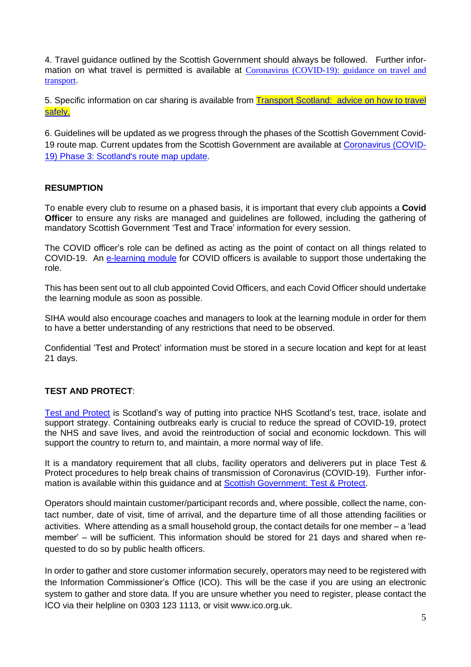4. Travel guidance outlined by the Scottish Government should always be followed. Further information on what travel is permitted is available at Coronavirus [\(COVID-19\):](https://www.gov.scot/publications/coronavirus-covid-19-guidance-on-travel-and-transport/) guidance on travel and [transport](https://www.gov.scot/publications/coronavirus-covid-19-guidance-on-travel-and-transport/).

5. Specific information on car sharing is available from **Transport Scotland:** advice on how to travel [safely.](http://www.transport.gov.scot/coronavirus-covid-19/transport-transition-plan/advice-on-how-to-travel-safely/#section-63888)

6. Guidelines will be updated as we progress through the phases of the Scottish Government Covid-19 route map. Current updates from the Scottish Government are available at [Coronavirus](https://www.gov.scot/collections/coronavirus-covid-19-scotlands-route-map/) (COVID-19) Phase 3: [Scotland's](https://www.gov.scot/collections/coronavirus-covid-19-scotlands-route-map/) route map update.

#### **RESUMPTION**

To enable every club to resume on a phased basis, it is important that every club appoints a **Covid Office**r to ensure any risks are managed and guidelines are followed, including the gathering of mandatory Scottish Government 'Test and Trace' information for every session.

The COVID officer's role can be defined as acting as the point of contact on all things related to COVID-19. An [e-learning](https://rise.articulate.com/share/gnk3qPoxD30r_1rmijUPJipuOksCwGs9#/) module for COVID officers is available to support those undertaking the role.

This has been sent out to all club appointed Covid Officers, and each Covid Officer should undertake the learning module as soon as possible.

SIHA would also encourage coaches and managers to look at the learning module in order for them to have a better understanding of any restrictions that need to be observed.

Confidential 'Test and Protect' information must be stored in a secure location and kept for at least 21 days.

## **TEST AND PROTECT**:

Test and [Protect](https://www.nhsinform.scot/campaigns/test-and-protect) is Scotland's way of putting into practice NHS Scotland's test, trace, isolate and support strategy. Containing outbreaks early is crucial to reduce the spread of COVID-19, protect the NHS and save lives, and avoid the reintroduction of social and economic lockdown. This will support the country to return to, and maintain, a more normal way of life.

It is a mandatory requirement that all clubs, facility operators and deliverers put in place Test & Protect procedures to help break chains of transmission of Coronavirus (COVID-19). Further infor-mation is available within this guidance and at Scottish [Government:](https://www.gov.scot/publications/coronavirus-covid-19-test-and-protect/) Test & Protect.

Operators should maintain customer/participant records and, where possible, collect the name, contact number, date of visit, time of arrival, and the departure time of all those attending facilities or activities. Where attending as a small household group, the contact details for one member – a 'lead member' – will be sufficient. This information should be stored for 21 days and shared when requested to do so by public health officers.

In order to gather and store customer information securely, operators may need to be registered with the Information Commissioner's Office (ICO). This will be the case if you are using an electronic system to gather and store data. If you are unsure whether you need to register, please contact the ICO via their helpline on 0303 123 1113, or visit [www.ico.org.uk.](http://www.ico.org.uk/)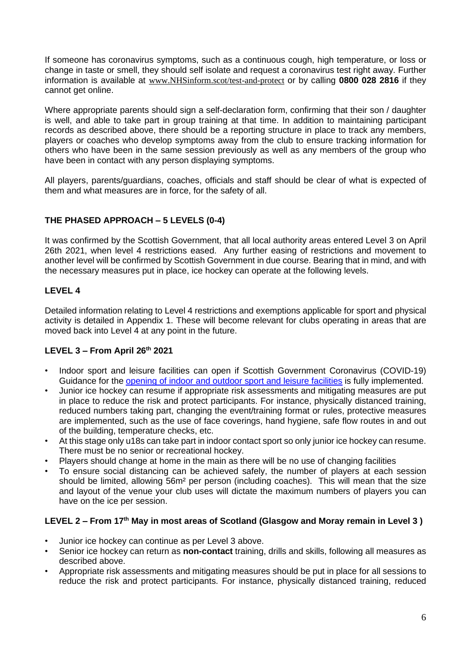If someone has coronavirus symptoms, such as a continuous cough, high temperature, or loss or change in taste or smell, they should self isolate and request a coronavirus test right away. Further information is available at [www.NHSinform.scot/test-and-protect](http://www.nhsinform.scot/test-and-protect) or by calling **0800 028 2816** if they cannot get online.

Where appropriate parents should sign a self-declaration form, confirming that their son / daughter is well, and able to take part in group training at that time. In addition to maintaining participant records as described above, there should be a reporting structure in place to track any members, players or coaches who develop symptoms away from the club to ensure tracking information for others who have been in the same session previously as well as any members of the group who have been in contact with any person displaying symptoms.

All players, parents/guardians, coaches, officials and staff should be clear of what is expected of them and what measures are in force, for the safety of all.

## **THE PHASED APPROACH – 5 LEVELS (0-4)**

It was confirmed by the Scottish Government, that all local authority areas entered Level 3 on April 26th 2021, when level 4 restrictions eased. Any further easing of restrictions and movement to another level will be confirmed by Scottish Government in due course. Bearing that in mind, and with the necessary measures put in place, ice hockey can operate at the following levels.

## **LEVEL 4**

Detailed information relating to Level 4 restrictions and exemptions applicable for sport and physical activity is detailed in Appendix 1. These will become relevant for clubs operating in areas that are moved back into Level 4 at any point in the future.

## **LEVEL 3 – From April 26th 2021**

- Indoor sport and leisure facilities can open if Scottish Government Coronavirus (COVID-19) Guidance for the [opening](https://www.gov.scot/publications/coronavirus-covid-19-guidance-on-sport-and-leisure-facilities/) of indoor and outdoor sport and leisure facilities is fully implemented.
- Junior ice hockey can resume if appropriate risk assessments and mitigating measures are put in place to reduce the risk and protect participants. For instance, physically distanced training, reduced numbers taking part, changing the event/training format or rules, protective measures are implemented, such as the use of face coverings, hand hygiene, safe flow routes in and out of the building, temperature checks, etc.
- At this stage only u18s can take part in indoor contact sport so only junior ice hockey can resume. There must be no senior or recreational hockey.
- Players should change at home in the main as there will be no use of changing facilities
- To ensure social distancing can be achieved safely, the number of players at each session should be limited, allowing 56m² per person (including coaches). This will mean that the size and layout of the venue your club uses will dictate the maximum numbers of players you can have on the ice per session.

#### LEVEL 2 – From  $17<sup>th</sup>$  May in most areas of Scotland (Glasgow and Moray remain in Level 3)

- Junior ice hockey can continue as per Level 3 above.
- Senior ice hockey can return as **non-contact** training, drills and skills, following all measures as described above.
- Appropriate risk assessments and mitigating measures should be put in place for all sessions to reduce the risk and protect participants. For instance, physically distanced training, reduced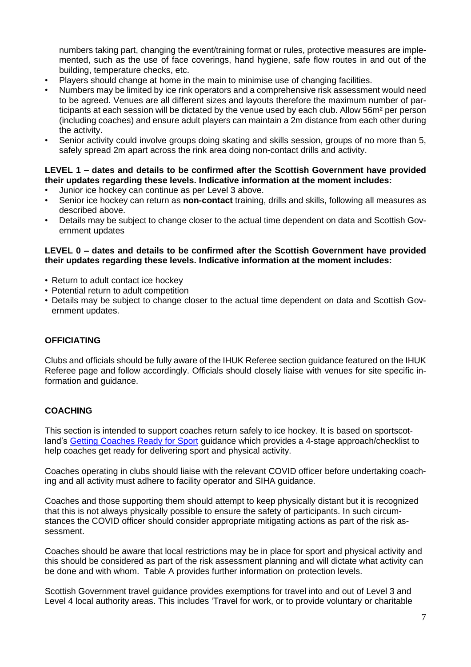numbers taking part, changing the event/training format or rules, protective measures are implemented, such as the use of face coverings, hand hygiene, safe flow routes in and out of the building, temperature checks, etc.

- Players should change at home in the main to minimise use of changing facilities.
- Numbers may be limited by ice rink operators and a comprehensive risk assessment would need to be agreed. Venues are all different sizes and layouts therefore the maximum number of participants at each session will be dictated by the venue used by each club. Allow 56m² per person (including coaches) and ensure adult players can maintain a 2m distance from each other during the activity.
- Senior activity could involve groups doing skating and skills session, groups of no more than 5, safely spread 2m apart across the rink area doing non-contact drills and activity.

#### **LEVEL 1 – dates and details to be confirmed after the Scottish Government have provided their updates regarding these levels. Indicative information at the moment includes:**

- Junior ice hockey can continue as per Level 3 above.
- Senior ice hockey can return as **non-contact** training, drills and skills, following all measures as described above.
- Details may be subject to change closer to the actual time dependent on data and Scottish Government updates

#### **LEVEL 0 – dates and details to be confirmed after the Scottish Government have provided their updates regarding these levels. Indicative information at the moment includes:**

- Return to adult contact ice hockey
- Potential return to adult competition
- Details may be subject to change closer to the actual time dependent on data and Scottish Government updates.

## **OFFICIATING**

Clubs and officials should be fully aware of the IHUK Referee section guidance featured on the IHUK Referee page and follow accordingly. Officials should closely liaise with venues for site specific information and guidance.

## **COACHING**

This section is intended to support coaches return safely to ice hockey. It is based on sportscot-land's Getting [Coaches](https://sportscotland.org.uk/covid-19/getting-coaches-ready-for-sport/) Ready for Sport guidance which provides a 4-stage approach/checklist to help coaches get ready for delivering sport and physical activity.

Coaches operating in clubs should liaise with the relevant COVID officer before undertaking coaching and all activity must adhere to facility operator and SIHA guidance.

Coaches and those supporting them should attempt to keep physically distant but it is recognized that this is not always physically possible to ensure the safety of participants. In such circumstances the COVID officer should consider appropriate mitigating actions as part of the risk assessment.

Coaches should be aware that local restrictions may be in place for sport and physical activity and this should be considered as part of the risk assessment planning and will dictate what activity can be done and with whom. Table A provides further information on protection levels.

Scottish Government travel guidance provides exemptions for travel into and out of Level 3 and Level 4 local authority areas. This includes 'Travel for work, or to provide voluntary or charitable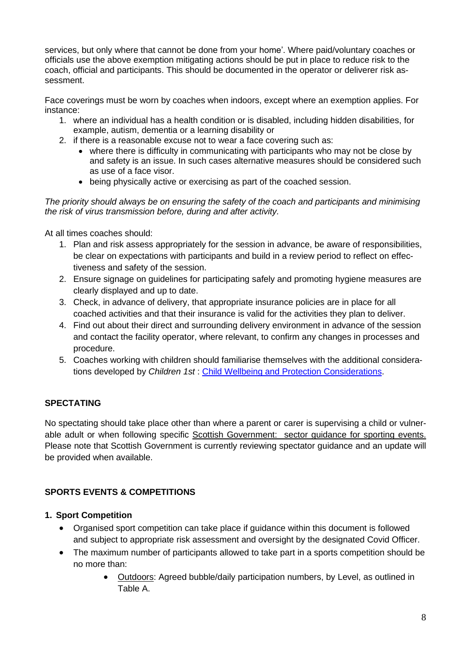services, but only where that cannot be done from your home'. Where paid/voluntary coaches or officials use the above exemption mitigating actions should be put in place to reduce risk to the coach, official and participants. This should be documented in the operator or deliverer risk assessment.

Face coverings must be worn by coaches when indoors, except where an exemption applies. For instance:

- 1. where an individual has a health condition or is disabled, including hidden disabilities, for example, autism, dementia or a learning disability or
- 2. if there is a reasonable excuse not to wear a face covering such as:
	- where there is difficulty in communicating with participants who may not be close by and safety is an issue. In such cases alternative measures should be considered such as use of a face visor.
	- being physically active or exercising as part of the coached session.

#### *The priority should always be on ensuring the safety of the coach and participants and minimising the risk of virus transmission before, during and after activity.*

At all times coaches should:

- 1. Plan and risk assess appropriately for the session in advance, be aware of responsibilities, be clear on expectations with participants and build in a review period to reflect on effectiveness and safety of the session.
- 2. Ensure signage on guidelines for participating safely and promoting hygiene measures are clearly displayed and up to date.
- 3. Check, in advance of delivery, that appropriate insurance policies are in place for all coached activities and that their insurance is valid for the activities they plan to deliver.
- 4. Find out about their direct and surrounding delivery environment in advance of the session and contact the facility operator, where relevant, to confirm any changes in processes and procedure.
- 5. Coaches working with children should familiarise themselves with the additional considerations developed by *Children 1st* : Child Wellbeing and Protection [Considerations.](https://sportscotland.org.uk/media/5774/cyp-return-to-sport-after-covid-19.pdf)

## **SPECTATING**

No spectating should take place other than where a parent or carer is supervising a child or vulner-able adult or when following specific Scottish [Government: sector](http://www.gov.scot/publications/coronavirus-covid-19-events-sector-guidance/) guidance for sporting events. Please note that Scottish Government is currently reviewing spectator guidance and an update will be provided when available.

## **SPORTS EVENTS & COMPETITIONS**

## **1. Sport Competition**

- Organised sport competition can take place if guidance within this document is followed and subject to appropriate risk assessment and oversight by the designated Covid Officer.
- The maximum number of participants allowed to take part in a sports competition should be no more than:
	- Outdoors: Agreed bubble/daily participation numbers, by Level, as outlined in Table A.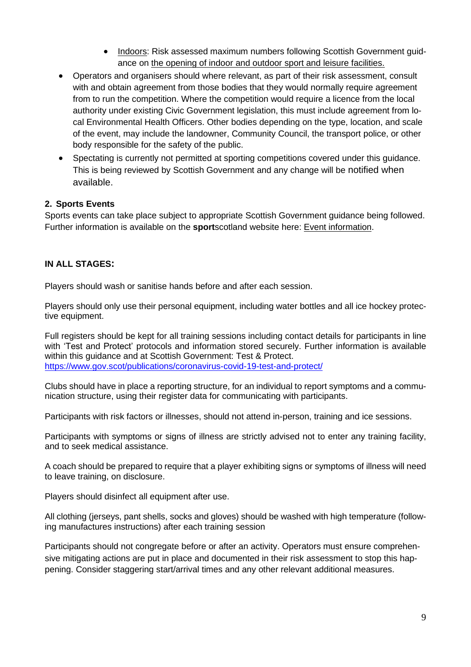- Indoors: Risk assessed maximum numbers following Scottish Government guidance on the opening of indoor and outdoor sport and leisure [facilities.](http://www.gov.scot/publications/coronavirus-covid-19-guidance-on-sport-and-leisure-facilities)
- Operators and organisers should where relevant, as part of their risk assessment, consult with and obtain agreement from those bodies that they would normally require agreement from to run the competition. Where the competition would require a licence from the local authority under existing Civic Government legislation, this must include agreement from local Environmental Health Officers. Other bodies depending on the type, location, and scale of the event, may include the landowner, Community Council, the transport police, or other body responsible for the safety of the public.
- Spectating is currently not permitted at sporting competitions covered under this guidance. This is being reviewed by Scottish Government and any change will be notified when available.

#### **2. Sports Events**

Sports events can take place subject to appropriate Scottish Government guidance being followed. Further information is available on the **sport**scotland website here: Event [information.](https://sportscotland.org.uk/covid-19/return-to-competitions-and-events/)

#### **IN ALL STAGES:**

Players should wash or sanitise hands before and after each session.

Players should only use their personal equipment, including water bottles and all ice hockey protective equipment.

Full registers should be kept for all training sessions including contact details for participants in line with 'Test and Protect' protocols and information stored securely. Further information is available within this guidance and at Scottish Government: Test & Protect. <https://www.gov.scot/publications/coronavirus-covid-19-test-and-protect/>

Clubs should have in place a reporting structure, for an individual to report symptoms and a communication structure, using their register data for communicating with participants.

Participants with risk factors or illnesses, should not attend in-person, training and ice sessions.

Participants with symptoms or signs of illness are strictly advised not to enter any training facility, and to seek medical assistance.

A coach should be prepared to require that a player exhibiting signs or symptoms of illness will need to leave training, on disclosure.

Players should disinfect all equipment after use.

All clothing (jerseys, pant shells, socks and gloves) should be washed with high temperature (following manufactures instructions) after each training session

Participants should not congregate before or after an activity. Operators must ensure comprehensive mitigating actions are put in place and documented in their risk assessment to stop this happening. Consider staggering start/arrival times and any other relevant additional measures.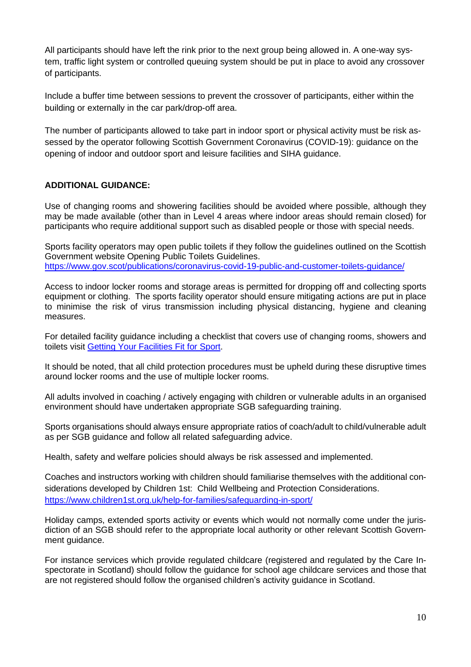All participants should have left the rink prior to the next group being allowed in. A one-way system, traffic light system or controlled queuing system should be put in place to avoid any crossover of participants.

Include a buffer time between sessions to prevent the crossover of participants, either within the building or externally in the car park/drop-off area.

The number of participants allowed to take part in indoor sport or physical activity must be risk assessed by the operator following Scottish Government Coronavirus (COVID-19): guidance on the opening of indoor and outdoor sport and leisure facilities and SIHA guidance.

## **ADDITIONAL GUIDANCE:**

Use of changing rooms and showering facilities should be avoided where possible, although they may be made available (other than in Level 4 areas where indoor areas should remain closed) for participants who require additional support such as disabled people or those with special needs.

Sports facility operators may open public toilets if they follow the guidelines outlined on the Scottish Government website Opening Public Toilets Guidelines. <https://www.gov.scot/publications/coronavirus-covid-19-public-and-customer-toilets-guidance/>

Access to indoor locker rooms and storage areas is permitted for dropping off and collecting sports equipment or clothing. The sports facility operator should ensure mitigating actions are put in place to minimise the risk of virus transmission including physical distancing, hygiene and cleaning measures.

For detailed facility guidance including a checklist that covers use of changing rooms, showers and toilets visit Getting Your [Facilities](https://sportscotland.org.uk/covid-19/getting-your-facilities-fit-for-sport/) Fit for Sport.

It should be noted, that all child protection procedures must be upheld during these disruptive times around locker rooms and the use of multiple locker rooms.

All adults involved in coaching / actively engaging with children or vulnerable adults in an organised environment should have undertaken appropriate SGB safeguarding training.

Sports organisations should always ensure appropriate ratios of coach/adult to child/vulnerable adult as per SGB guidance and follow all related safeguarding advice.

Health, safety and welfare policies should always be risk assessed and implemented.

Coaches and instructors working with children should familiarise themselves with the additional considerations developed by Children 1st: Child Wellbeing and Protection Considerations. <https://www.children1st.org.uk/help-for-families/safeguarding-in-sport/>

Holiday camps, extended sports activity or events which would not normally come under the jurisdiction of an SGB should refer to the appropriate local authority or other relevant Scottish Government guidance.

For instance services which provide regulated childcare (registered and regulated by the Care Inspectorate in Scotland) should follow the guidance for school age childcare services and those that are not registered should follow the organised children's activity guidance in Scotland.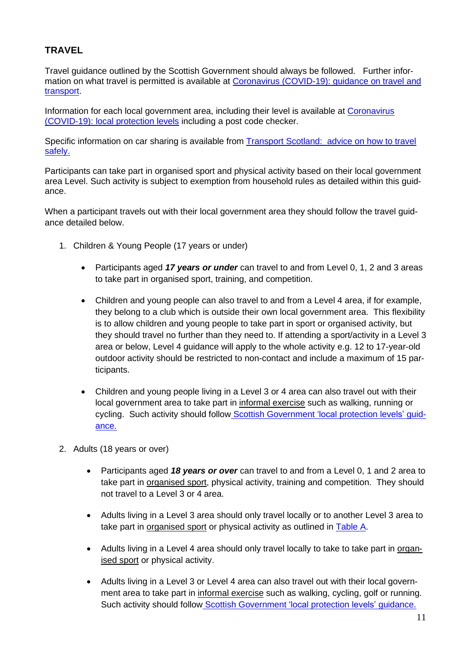# **TRAVEL**

Travel guidance outlined by the Scottish Government should always be followed. Further infor-mation on what travel is permitted is available at Coronavirus [\(COVID-19\):](https://www.gov.scot/publications/coronavirus-covid-19-guidance-on-travel-and-transport/) guidance on travel and [transport.](https://www.gov.scot/publications/coronavirus-covid-19-guidance-on-travel-and-transport/)

Information for each local government area, including their level is available at [Coronavirus](https://www.gov.scot/publications/coronavirus-covid-19-protection-levels/) [\(COVID-19\):](https://www.gov.scot/publications/coronavirus-covid-19-protection-levels/) local protection levels including a post code checker.

Specific information on car sharing is available from **Transport Scotland:** advice on how to travel [safely.](http://www.transport.gov.scot/coronavirus-covid-19/transport-transition-plan/advice-on-how-to-travel-safely/#section-63888)

Participants can take part in organised sport and physical activity based on their local government area Level. Such activity is subject to exemption from household rules as detailed within this guidance.

When a participant travels out with their local government area they should follow the travel guidance detailed below.

- 1. Children & Young People (17 years or under)
	- Participants aged *17 years or under* can travel to and from Level 0, 1, 2 and 3 areas to take part in organised sport, training, and competition.
	- Children and young people can also travel to and from a Level 4 area, if for example, they belong to a club which is outside their own local government area. This flexibility is to allow children and young people to take part in sport or organised activity, but they should travel no further than they need to. If attending a sport/activity in a Level 3 area or below, Level 4 guidance will apply to the whole activity e.g. 12 to 17-year-old outdoor activity should be restricted to non-contact and include a maximum of 15 participants.
	- Children and young people living in a Level 3 or 4 area can also travel out with their local government area to take part in informal exercise such as walking, running or cycling. Such activity should follow Scottish [Government](https://www.gov.scot/publications/coronavirus-covid-19-protection-levels/pages/protection-levels-by-area/) 'local protection levels' quid[ance.](https://www.gov.scot/publications/coronavirus-covid-19-protection-levels/pages/protection-levels-by-area/)
- 2. Adults (18 years or over)
	- Participants aged *18 years or over* can travel to and from a Level 0, 1 and 2 area to take part in organised sport, physical activity, training and competition. They should not travel to a Level 3 or 4 area.
	- Adults living in a Level 3 area should only travel locally or to another Level 3 area to take part in organised sport or physical activity as outlined in Table A.
	- Adults living in a Level 4 area should only travel locally to take to take part in organised sport or physical activity.
	- Adults living in a Level 3 or Level 4 area can also travel out with their local government area to take part in informal exercise such as walking, cycling, golf or running. Such activity should follow Scottish [Government](https://www.gov.scot/publications/coronavirus-covid-19-stay-at-home-guidance/) 'local protection levels' guidance.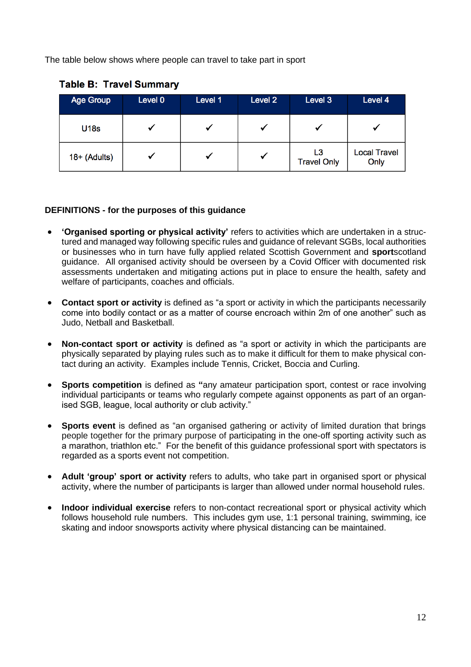The table below shows where people can travel to take part in sport

| <b>Age Group</b> | Level 0 | Level 1 | Level 2 | Level 3                  | Level 4                     |
|------------------|---------|---------|---------|--------------------------|-----------------------------|
| <b>U18s</b>      |         |         |         |                          |                             |
| 18+ (Adults)     |         |         | ✔       | L3<br><b>Travel Only</b> | <b>Local Travel</b><br>Only |

# **Table B: Travel Summary**

# **DEFINITIONS - for the purposes of this guidance**

- **'Organised sporting or physical activity'** refers to activities which are undertaken in a structured and managed way following specific rules and guidance of relevant SGBs, local authorities or businesses who in turn have fully applied related Scottish Government and **sport**scotland guidance. All organised activity should be overseen by a Covid Officer with documented risk assessments undertaken and mitigating actions put in place to ensure the health, safety and welfare of participants, coaches and officials.
- **Contact sport or activity** is defined as "a sport or activity in which the participants necessarily come into bodily contact or as a matter of course encroach within 2m of one another" such as Judo, Netball and Basketball.
- **Non-contact sport or activity** is defined as "a sport or activity in which the participants are physically separated by playing rules such as to make it difficult for them to make physical contact during an activity. Examples include Tennis, Cricket, Boccia and Curling.
- **Sports competition** is defined as **"**any amateur participation sport, contest or race involving individual participants or teams who regularly compete against opponents as part of an organised SGB, league, local authority or club activity."
- **Sports event** is defined as "an organised gathering or activity of limited duration that brings people together for the primary purpose of participating in the one-off sporting activity such as a marathon, triathlon etc." For the benefit of this guidance professional sport with spectators is regarded as a sports event not competition.
- **Adult 'group' sport or activity** refers to adults, who take part in organised sport or physical activity, where the number of participants is larger than allowed under normal household rules.
- **Indoor individual exercise** refers to non-contact recreational sport or physical activity which follows household rule numbers. This includes gym use, 1:1 personal training, swimming, ice skating and indoor snowsports activity where physical distancing can be maintained.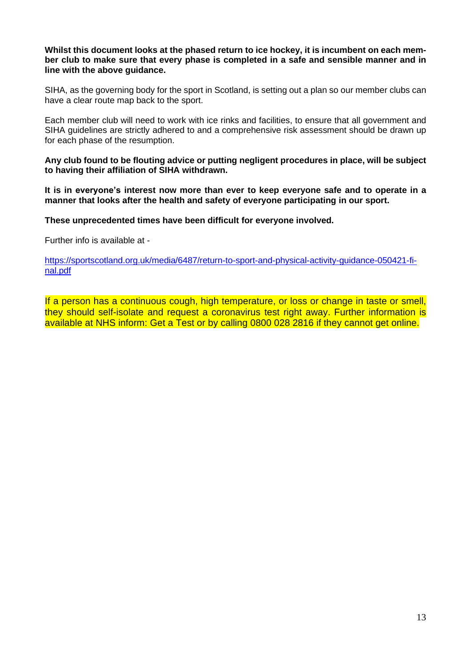#### **Whilst this document looks at the phased return to ice hockey, it is incumbent on each member club to make sure that every phase is completed in a safe and sensible manner and in line with the above guidance.**

SIHA, as the governing body for the sport in Scotland, is setting out a plan so our member clubs can have a clear route map back to the sport.

Each member club will need to work with ice rinks and facilities, to ensure that all government and SIHA guidelines are strictly adhered to and a comprehensive risk assessment should be drawn up for each phase of the resumption.

**Any club found to be flouting advice or putting negligent procedures in place, will be subject to having their affiliation of SIHA withdrawn.**

**It is in everyone's interest now more than ever to keep everyone safe and to operate in a manner that looks after the health and safety of everyone participating in our sport.**

**These unprecedented times have been difficult for everyone involved.**

Further info is available at -

[https://sportscotland.org.uk/media/6487/return-to-sport-and-physical-activity-guidance-050421-fi](https://sportscotland.org.uk/media/6487/return-to-sport-and-physical-activity-guidance-050421-final.pdf)[nal.pdf](https://sportscotland.org.uk/media/6487/return-to-sport-and-physical-activity-guidance-050421-final.pdf)

If a person has a continuous cough, high temperature, or loss or change in taste or smell, they should self-isolate and request a coronavirus test right away. Further information is available at NHS inform: Get a Test or by calling 0800 028 2816 if they cannot get online.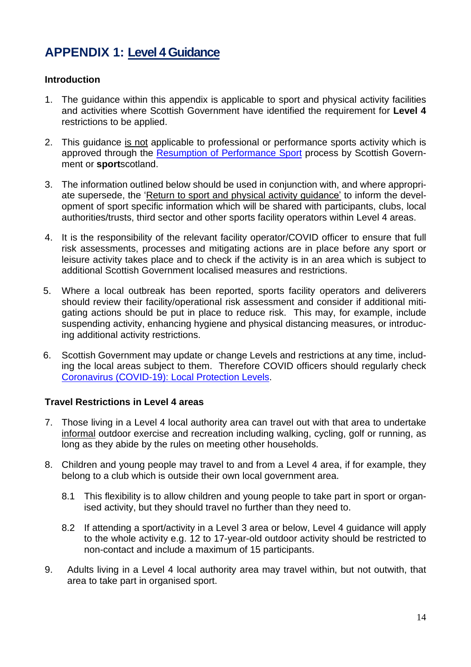# **APPENDIX 1: Level 4 Guidance**

## **Introduction**

- 1. The guidance within this appendix is applicable to sport and physical activity facilities and activities where Scottish Government have identified the requirement for **Level 4** restrictions to be applied.
- 2. This guidance is not applicable to professional or performance sports activity which is approved through the Resumption of [Performance](https://sportscotland.org.uk/covid-19/resumption-of-performance-sport-guidance/) Sport process by Scottish Government or **sport**scotland.
- 3. The information outlined below should be used in conjunction with, and where appropriate supersede, the 'Return to sport and physical activity guidance' to inform the development of sport specific information which will be shared with participants, clubs, local authorities/trusts, third sector and other sports facility operators within Level 4 areas.
- 4. It is the responsibility of the relevant facility operator/COVID officer to ensure that full risk assessments, processes and mitigating actions are in place before any sport or leisure activity takes place and to check if the activity is in an area which is subject to additional Scottish Government localised measures and restrictions.
- 5. Where a local outbreak has been reported, sports facility operators and deliverers should review their facility/operational risk assessment and consider if additional mitigating actions should be put in place to reduce risk. This may, for example, include suspending activity, enhancing hygiene and physical distancing measures, or introducing additional activity restrictions.
- 6. Scottish Government may update or change Levels and restrictions at any time, including the local areas subject to them. Therefore COVID officers should regularly check Coronavirus [\(COVID-19\):](http://www.gov.scot/publications/coronavirus-covid-19-local-measures/) Local Protection Levels.

# **Travel Restrictions in Level 4 areas**

- 7. Those living in a Level 4 local authority area can travel out with that area to undertake informal outdoor exercise and recreation including walking, cycling, golf or running, as long as they abide by the rules on meeting other households.
- 8. Children and young people may travel to and from a Level 4 area, if for example, they belong to a club which is outside their own local government area.
	- 8.1 This flexibility is to allow children and young people to take part in sport or organised activity, but they should travel no further than they need to.
	- 8.2 If attending a sport/activity in a Level 3 area or below, Level 4 guidance will apply to the whole activity e.g. 12 to 17-year-old outdoor activity should be restricted to non-contact and include a maximum of 15 participants.
- 9. Adults living in a Level 4 local authority area may travel within, but not outwith, that area to take part in organised sport.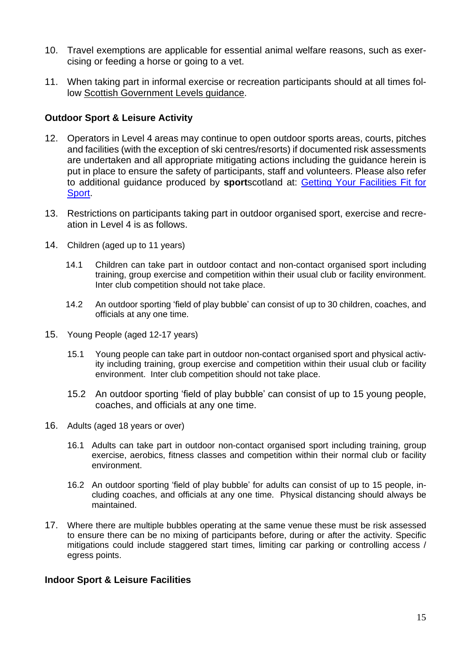- 10. Travel exemptions are applicable for essential animal welfare reasons, such as exercising or feeding a horse or going to a vet.
- 11. When taking part in informal exercise or recreation participants should at all times follow Scottish [Government](https://www.gov.scot/publications/coronavirus-covid-19-stay-at-home-guidance/) Levels guidance.

## **Outdoor Sport & Leisure Activity**

- 12. Operators in Level 4 areas may continue to open outdoor sports areas, courts, pitches and facilities (with the exception of ski centres/resorts) if documented risk assessments are undertaken and all appropriate mitigating actions including the guidance herein is put in place to ensure the safety of participants, staff and volunteers. Please also refer to additional guidance produced by **sport**scotland at: Getting Your [Facilities](http://www.sportscotland.org.uk/covid-19/getting-your-facilities-fit-for-sport/) Fit for [Sport.](http://www.sportscotland.org.uk/covid-19/getting-your-facilities-fit-for-sport/)
- 13. Restrictions on participants taking part in outdoor organised sport, exercise and recreation in Level 4 is as follows.
- 14. Children (aged up to 11 years)
	- 14.1 Children can take part in outdoor contact and non-contact organised sport including training, group exercise and competition within their usual club or facility environment. Inter club competition should not take place.
	- 14.2 An outdoor sporting 'field of play bubble' can consist of up to 30 children, coaches, and officials at any one time.
- 15. Young People (aged 12-17 years)
	- 15.1 Young people can take part in outdoor non-contact organised sport and physical activity including training, group exercise and competition within their usual club or facility environment. Inter club competition should not take place.
	- 15.2 An outdoor sporting 'field of play bubble' can consist of up to 15 young people, coaches, and officials at any one time.
- 16. Adults (aged 18 years or over)
	- 16.1 Adults can take part in outdoor non-contact organised sport including training, group exercise, aerobics, fitness classes and competition within their normal club or facility environment.
	- 16.2 An outdoor sporting 'field of play bubble' for adults can consist of up to 15 people, including coaches, and officials at any one time. Physical distancing should always be maintained.
- 17. Where there are multiple bubbles operating at the same venue these must be risk assessed to ensure there can be no mixing of participants before, during or after the activity. Specific mitigations could include staggered start times, limiting car parking or controlling access / egress points.

# **Indoor Sport & Leisure Facilities**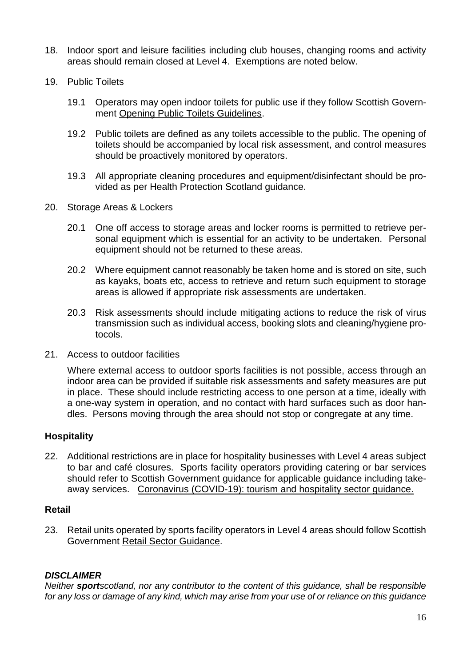- 18. Indoor sport and leisure facilities including club houses, changing rooms and activity areas should remain closed at Level 4. Exemptions are noted below.
- 19. Public Toilets
	- 19.1 Operators may open indoor toilets for public use if they follow Scottish Government Opening Public Toilets [Guidelines.](https://protect-eu.mimecast.com/s/aBXuCNx63fxoygsmfSPz?domain=gov.scot/)
	- 19.2 Public toilets are defined as any toilets accessible to the public. The opening of toilets should be accompanied by local risk assessment, and control measures should be proactively monitored by operators.
	- 19.3 All appropriate cleaning procedures and equipment/disinfectant should be provided as per Health Protection Scotland guidance.
- 20. Storage Areas & Lockers
	- 20.1 One off access to storage areas and locker rooms is permitted to retrieve personal equipment which is essential for an activity to be undertaken. Personal equipment should not be returned to these areas.
	- 20.2 Where equipment cannot reasonably be taken home and is stored on site, such as kayaks, boats etc, access to retrieve and return such equipment to storage areas is allowed if appropriate risk assessments are undertaken.
	- 20.3 Risk assessments should include mitigating actions to reduce the risk of virus transmission such as individual access, booking slots and cleaning/hygiene protocols.
- 21. Access to outdoor facilities

Where external access to outdoor sports facilities is not possible, access through an indoor area can be provided if suitable risk assessments and safety measures are put in place. These should include restricting access to one person at a time, ideally with a one-way system in operation, and no contact with hard surfaces such as door handles. Persons moving through the area should not stop or congregate at any time.

## **Hospitality**

22. Additional restrictions are in place for hospitality businesses with Level 4 areas subject to bar and café closures. Sports facility operators providing catering or bar services should refer to Scottish Government guidance for applicable guidance including takeaway services. [Coronavirus](http://www.gov.scot/publications/coronavirus-covid-19-tourism-and-hospitality-sector-guidance/pages/hospitality-statutory-guidance/) (COVID-19): tourism and hospitality sector guidance.

## **Retail**

23. Retail units operated by sports facility operators in Level 4 areas should follow Scottish Government Retail Sector [Guidance.](http://www.gov.scot/publications/coronavirus-covid-19-retail-sector-guidance/)

#### *DISCLAIMER*

*Neither sportscotland, nor any contributor to the content of this guidance, shall be responsible* for any loss or damage of any kind, which may arise from your use of or reliance on this guidance